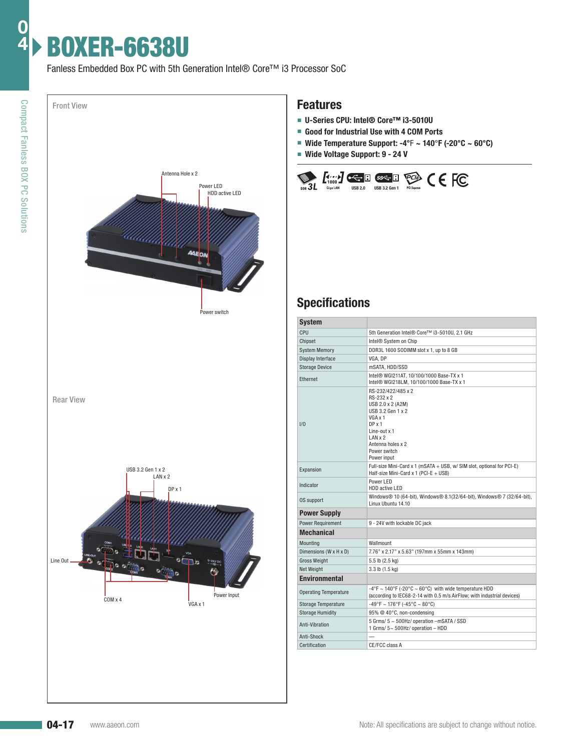**0 4**

# BOXER-6638U

Fanless Embedded Box PC with 5th Generation Intel® Core™ i3 Processor SoC



Rear View



### **Features**

- **U-Series CPU: Intel® Core™ i3-5010U**
- **Good for Industrial Use with 4 COM Ports**
- **Wide Temperature Support: -4°**F **~ 140**°**F (-20°C ~ 60°C)**
- **Wide Voltage Support: 9 24 V**



## **Specifications**

| <b>System</b>                |                                                                                                                                                                              |  |  |  |  |  |  |
|------------------------------|------------------------------------------------------------------------------------------------------------------------------------------------------------------------------|--|--|--|--|--|--|
| CPU                          | 5th Generation Intel® Core™ i3-5010U, 2.1 GHz                                                                                                                                |  |  |  |  |  |  |
| Chipset                      | Intel <sup>®</sup> System on Chip                                                                                                                                            |  |  |  |  |  |  |
| <b>System Memory</b>         | DDR3L 1600 SODIMM slot x 1, up to 8 GB                                                                                                                                       |  |  |  |  |  |  |
| <b>Display Interface</b>     | VGA, DP                                                                                                                                                                      |  |  |  |  |  |  |
| <b>Storage Device</b>        | mSATA, HDD/SSD                                                                                                                                                               |  |  |  |  |  |  |
| Ethernet                     | Intel® WGI211AT, 10/100/1000 Base-TX x 1<br>Intel® WGI218LM, 10/100/1000 Base-TX x 1                                                                                         |  |  |  |  |  |  |
| 1/0                          | RS-232/422/485 x 2<br>RS-232 x 2<br>USB 2.0 x 2 (A2M)<br>USB 3.2 Gen 1 x 2<br>VGA x 1<br>DP x 1<br>Line-out x 1<br>LANx2<br>Antenna holes x 2<br>Power switch<br>Power input |  |  |  |  |  |  |
| Expansion                    | Full-size Mini-Card x 1 (mSATA + USB, w/ SIM slot, optional for PCI-E)<br>Half-size Mini-Card x 1 (PCI-E + USB)                                                              |  |  |  |  |  |  |
| Indicator                    | Power LED<br>HDD active LED                                                                                                                                                  |  |  |  |  |  |  |
| <b>OS</b> support            | Windows® 10 (64-bit), Windows® 8.1(32/64-bit), Windows® 7 (32/64-bit),<br>Linux Ubuntu 14.10                                                                                 |  |  |  |  |  |  |
| <b>Power Supply</b>          |                                                                                                                                                                              |  |  |  |  |  |  |
| <b>Power Requirement</b>     | 9 - 24V with lockable DC jack                                                                                                                                                |  |  |  |  |  |  |
| <b>Mechanical</b>            |                                                                                                                                                                              |  |  |  |  |  |  |
| Mounting                     | Wallmount                                                                                                                                                                    |  |  |  |  |  |  |
| Dimensions (W x H x D)       | 7.76" x 2.17" x 5.63" (197mm x 55mm x 143mm)                                                                                                                                 |  |  |  |  |  |  |
| <b>Gross Weight</b>          | 5.5 lb (2.5 kg)                                                                                                                                                              |  |  |  |  |  |  |
| <b>Net Weight</b>            | 3.3 lb (1.5 kg)                                                                                                                                                              |  |  |  |  |  |  |
| <b>Environmental</b>         |                                                                                                                                                                              |  |  |  |  |  |  |
| <b>Operating Temperature</b> | -4°F ~ 140°F (-20°C ~ 60°C) with wide temperature HDD<br>(according to IEC68-2-14 with 0.5 m/s AirFlow; with industrial devices)                                             |  |  |  |  |  |  |
| <b>Storage Temperature</b>   | $-49^{\circ}$ F ~ 176°F (-45°C ~ 80°C)                                                                                                                                       |  |  |  |  |  |  |
| <b>Storage Humidity</b>      | 95% @ 40°C, non-condensing                                                                                                                                                   |  |  |  |  |  |  |
| Anti-Vibration               | 5 Grms/ 5 ~ 500Hz/ operation -mSATA / SSD<br>1 Grms/ 5~ 500Hz/ operation - HDD                                                                                               |  |  |  |  |  |  |
| Anti-Shock                   |                                                                                                                                                                              |  |  |  |  |  |  |
| Certification                | CE/FCC class A                                                                                                                                                               |  |  |  |  |  |  |